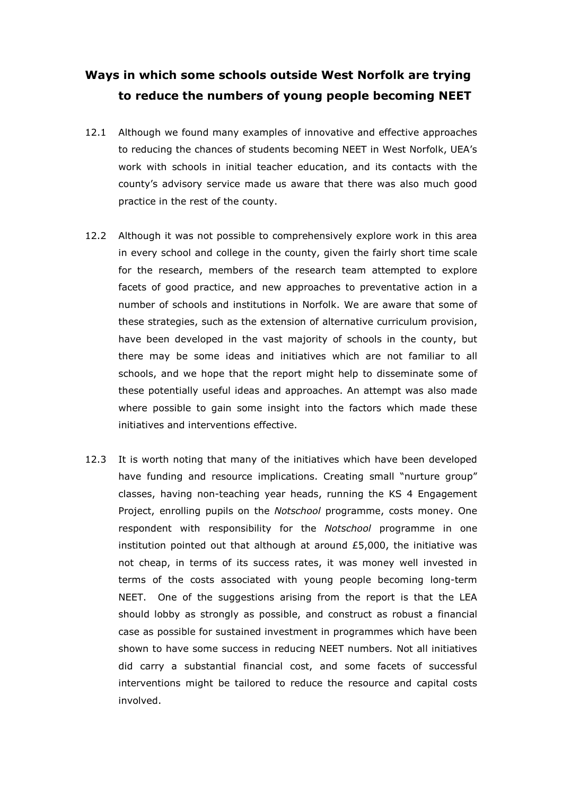# Ways in which some schools outside West Norfolk are trying to reduce the numbers of young people becoming NEET

- 12.1 Although we found many examples of innovative and effective approaches to reducing the chances of students becoming NEET in West Norfolk, UEA's work with schools in initial teacher education, and its contacts with the county's advisory service made us aware that there was also much good practice in the rest of the county.
- 12.2 Although it was not possible to comprehensively explore work in this area in every school and college in the county, given the fairly short time scale for the research, members of the research team attempted to explore facets of good practice, and new approaches to preventative action in a number of schools and institutions in Norfolk. We are aware that some of these strategies, such as the extension of alternative curriculum provision, have been developed in the vast majority of schools in the county, but there may be some ideas and initiatives which are not familiar to all schools, and we hope that the report might help to disseminate some of these potentially useful ideas and approaches. An attempt was also made where possible to gain some insight into the factors which made these initiatives and interventions effective.
- 12.3 It is worth noting that many of the initiatives which have been developed have funding and resource implications. Creating small "nurture group" classes, having non-teaching year heads, running the KS 4 Engagement Project, enrolling pupils on the Notschool programme, costs money. One respondent with responsibility for the Notschool programme in one institution pointed out that although at around £5,000, the initiative was not cheap, in terms of its success rates, it was money well invested in terms of the costs associated with young people becoming long-term NEET. One of the suggestions arising from the report is that the LEA should lobby as strongly as possible, and construct as robust a financial case as possible for sustained investment in programmes which have been shown to have some success in reducing NEET numbers. Not all initiatives did carry a substantial financial cost, and some facets of successful interventions might be tailored to reduce the resource and capital costs involved.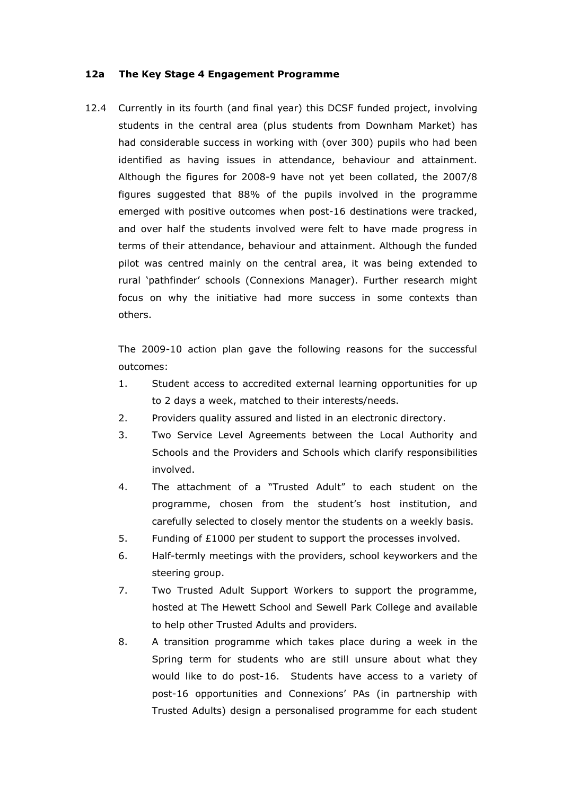#### 12a The Key Stage 4 Engagement Programme

12.4 Currently in its fourth (and final year) this DCSF funded project, involving students in the central area (plus students from Downham Market) has had considerable success in working with (over 300) pupils who had been identified as having issues in attendance, behaviour and attainment. Although the figures for 2008-9 have not yet been collated, the 2007/8 figures suggested that 88% of the pupils involved in the programme emerged with positive outcomes when post-16 destinations were tracked, and over half the students involved were felt to have made progress in terms of their attendance, behaviour and attainment. Although the funded pilot was centred mainly on the central area, it was being extended to rural 'pathfinder' schools (Connexions Manager). Further research might focus on why the initiative had more success in some contexts than others.

The 2009-10 action plan gave the following reasons for the successful outcomes:

- 1. Student access to accredited external learning opportunities for up to 2 days a week, matched to their interests/needs.
- 2. Providers quality assured and listed in an electronic directory.
- 3. Two Service Level Agreements between the Local Authority and Schools and the Providers and Schools which clarify responsibilities involved.
- 4. The attachment of a "Trusted Adult" to each student on the programme, chosen from the student's host institution, and carefully selected to closely mentor the students on a weekly basis.
- 5. Funding of £1000 per student to support the processes involved.
- 6. Half-termly meetings with the providers, school keyworkers and the steering group.
- 7. Two Trusted Adult Support Workers to support the programme, hosted at The Hewett School and Sewell Park College and available to help other Trusted Adults and providers.
- 8. A transition programme which takes place during a week in the Spring term for students who are still unsure about what they would like to do post-16. Students have access to a variety of post-16 opportunities and Connexions' PAs (in partnership with Trusted Adults) design a personalised programme for each student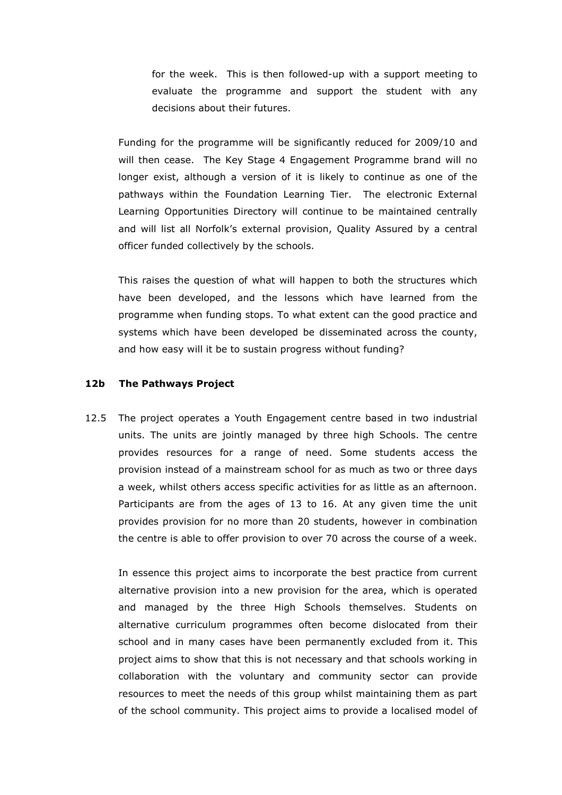for the week. This is then followed-up with a support meeting to evaluate the programme and support the student with any decisions about their futures.

Funding for the programme will be significantly reduced for 2009/10 and will then cease. The Key Stage 4 Engagement Programme brand will no longer exist, although a version of it is likely to continue as one of the pathways within the Foundation Learning Tier. The electronic External Learning Opportunities Directory will continue to be maintained centrally and will list all Norfolk's external provision, Quality Assured by a central officer funded collectively by the schools.

This raises the question of what will happen to both the structures which have been developed, and the lessons which have learned from the programme when funding stops. To what extent can the good practice and systems which have been developed be disseminated across the county, and how easy will it be to sustain progress without funding?

### 12b The Pathways Project

12.5 The project operates a Youth Engagement centre based in two industrial units. The units are jointly managed by three high Schools. The centre provides resources for a range of need. Some students access the provision instead of a mainstream school for as much as two or three days a week, whilst others access specific activities for as little as an afternoon. Participants are from the ages of 13 to 16. At any given time the unit provides provision for no more than 20 students, however in combination the centre is able to offer provision to over 70 across the course of a week.

In essence this project aims to incorporate the best practice from current alternative provision into a new provision for the area, which is operated and managed by the three High Schools themselves. Students on alternative curriculum programmes often become dislocated from their school and in many cases have been permanently excluded from it. This project aims to show that this is not necessary and that schools working in collaboration with the voluntary and community sector can provide resources to meet the needs of this group whilst maintaining them as part of the school community. This project aims to provide a localised model of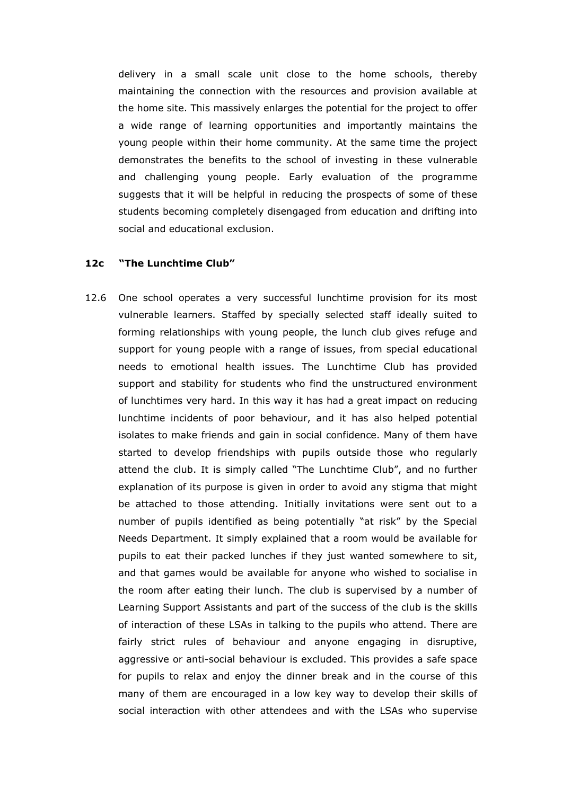delivery in a small scale unit close to the home schools, thereby maintaining the connection with the resources and provision available at the home site. This massively enlarges the potential for the project to offer a wide range of learning opportunities and importantly maintains the young people within their home community. At the same time the project demonstrates the benefits to the school of investing in these vulnerable and challenging young people. Early evaluation of the programme suggests that it will be helpful in reducing the prospects of some of these students becoming completely disengaged from education and drifting into social and educational exclusion.

### 12c "The Lunchtime Club"

12.6 One school operates a very successful lunchtime provision for its most vulnerable learners. Staffed by specially selected staff ideally suited to forming relationships with young people, the lunch club gives refuge and support for young people with a range of issues, from special educational needs to emotional health issues. The Lunchtime Club has provided support and stability for students who find the unstructured environment of lunchtimes very hard. In this way it has had a great impact on reducing lunchtime incidents of poor behaviour, and it has also helped potential isolates to make friends and gain in social confidence. Many of them have started to develop friendships with pupils outside those who regularly attend the club. It is simply called "The Lunchtime Club", and no further explanation of its purpose is given in order to avoid any stigma that might be attached to those attending. Initially invitations were sent out to a number of pupils identified as being potentially "at risk" by the Special Needs Department. It simply explained that a room would be available for pupils to eat their packed lunches if they just wanted somewhere to sit, and that games would be available for anyone who wished to socialise in the room after eating their lunch. The club is supervised by a number of Learning Support Assistants and part of the success of the club is the skills of interaction of these LSAs in talking to the pupils who attend. There are fairly strict rules of behaviour and anyone engaging in disruptive, aggressive or anti-social behaviour is excluded. This provides a safe space for pupils to relax and enjoy the dinner break and in the course of this many of them are encouraged in a low key way to develop their skills of social interaction with other attendees and with the LSAs who supervise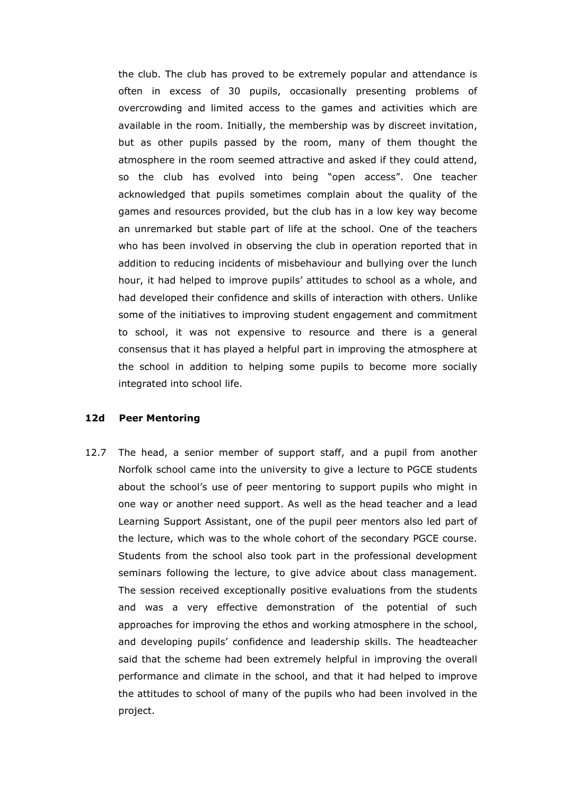the club. The club has proved to be extremely popular and attendance is often in excess of 30 pupils, occasionally presenting problems of overcrowding and limited access to the games and activities which are available in the room. Initially, the membership was by discreet invitation, but as other pupils passed by the room, many of them thought the atmosphere in the room seemed attractive and asked if they could attend, so the club has evolved into being "open access". One teacher acknowledged that pupils sometimes complain about the quality of the games and resources provided, but the club has in a low key way become an unremarked but stable part of life at the school. One of the teachers who has been involved in observing the club in operation reported that in addition to reducing incidents of misbehaviour and bullying over the lunch hour, it had helped to improve pupils' attitudes to school as a whole, and had developed their confidence and skills of interaction with others. Unlike some of the initiatives to improving student engagement and commitment to school, it was not expensive to resource and there is a general consensus that it has played a helpful part in improving the atmosphere at the school in addition to helping some pupils to become more socially integrated into school life.

#### 12d Peer Mentoring

12.7 The head, a senior member of support staff, and a pupil from another Norfolk school came into the university to give a lecture to PGCE students about the school's use of peer mentoring to support pupils who might in one way or another need support. As well as the head teacher and a lead Learning Support Assistant, one of the pupil peer mentors also led part of the lecture, which was to the whole cohort of the secondary PGCE course. Students from the school also took part in the professional development seminars following the lecture, to give advice about class management. The session received exceptionally positive evaluations from the students and was a very effective demonstration of the potential of such approaches for improving the ethos and working atmosphere in the school, and developing pupils' confidence and leadership skills. The headteacher said that the scheme had been extremely helpful in improving the overall performance and climate in the school, and that it had helped to improve the attitudes to school of many of the pupils who had been involved in the project.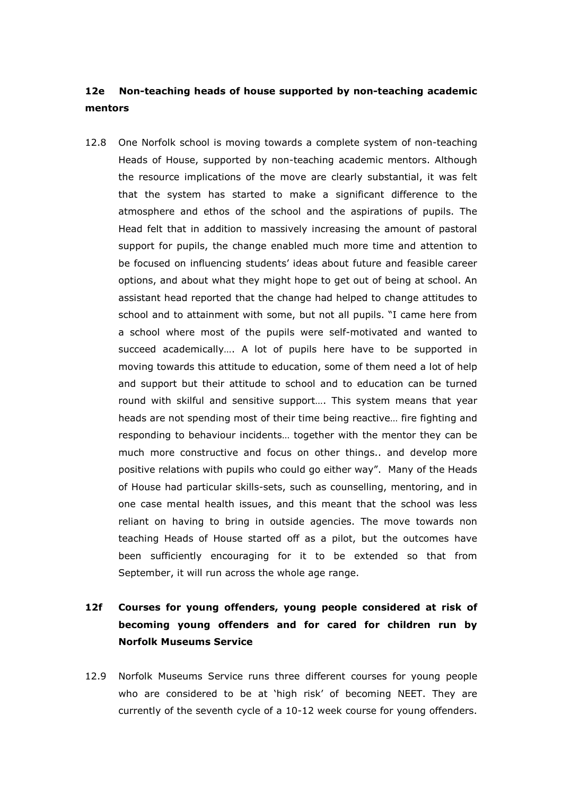### 12e Non-teaching heads of house supported by non-teaching academic mentors

12.8 One Norfolk school is moving towards a complete system of non-teaching Heads of House, supported by non-teaching academic mentors. Although the resource implications of the move are clearly substantial, it was felt that the system has started to make a significant difference to the atmosphere and ethos of the school and the aspirations of pupils. The Head felt that in addition to massively increasing the amount of pastoral support for pupils, the change enabled much more time and attention to be focused on influencing students' ideas about future and feasible career options, and about what they might hope to get out of being at school. An assistant head reported that the change had helped to change attitudes to school and to attainment with some, but not all pupils. "I came here from a school where most of the pupils were self-motivated and wanted to succeed academically…. A lot of pupils here have to be supported in moving towards this attitude to education, some of them need a lot of help and support but their attitude to school and to education can be turned round with skilful and sensitive support…. This system means that year heads are not spending most of their time being reactive… fire fighting and responding to behaviour incidents… together with the mentor they can be much more constructive and focus on other things.. and develop more positive relations with pupils who could go either way". Many of the Heads of House had particular skills-sets, such as counselling, mentoring, and in one case mental health issues, and this meant that the school was less reliant on having to bring in outside agencies. The move towards non teaching Heads of House started off as a pilot, but the outcomes have been sufficiently encouraging for it to be extended so that from September, it will run across the whole age range.

## 12f Courses for young offenders, young people considered at risk of becoming young offenders and for cared for children run by Norfolk Museums Service

12.9 Norfolk Museums Service runs three different courses for young people who are considered to be at 'high risk' of becoming NEET. They are currently of the seventh cycle of a 10-12 week course for young offenders.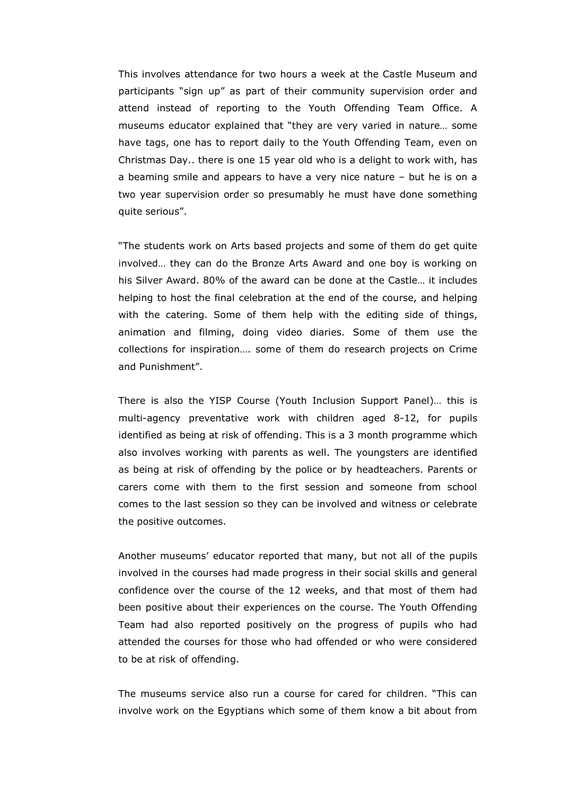This involves attendance for two hours a week at the Castle Museum and participants "sign up" as part of their community supervision order and attend instead of reporting to the Youth Offending Team Office. A museums educator explained that "they are very varied in nature… some have tags, one has to report daily to the Youth Offending Team, even on Christmas Day.. there is one 15 year old who is a delight to work with, has a beaming smile and appears to have a very nice nature – but he is on a two year supervision order so presumably he must have done something quite serious".

 "The students work on Arts based projects and some of them do get quite involved… they can do the Bronze Arts Award and one boy is working on his Silver Award. 80% of the award can be done at the Castle… it includes helping to host the final celebration at the end of the course, and helping with the catering. Some of them help with the editing side of things, animation and filming, doing video diaries. Some of them use the collections for inspiration…. some of them do research projects on Crime and Punishment".

 There is also the YISP Course (Youth Inclusion Support Panel)… this is multi-agency preventative work with children aged 8-12, for pupils identified as being at risk of offending. This is a 3 month programme which also involves working with parents as well. The youngsters are identified as being at risk of offending by the police or by headteachers. Parents or carers come with them to the first session and someone from school comes to the last session so they can be involved and witness or celebrate the positive outcomes.

 Another museums' educator reported that many, but not all of the pupils involved in the courses had made progress in their social skills and general confidence over the course of the 12 weeks, and that most of them had been positive about their experiences on the course. The Youth Offending Team had also reported positively on the progress of pupils who had attended the courses for those who had offended or who were considered to be at risk of offending.

 The museums service also run a course for cared for children. "This can involve work on the Egyptians which some of them know a bit about from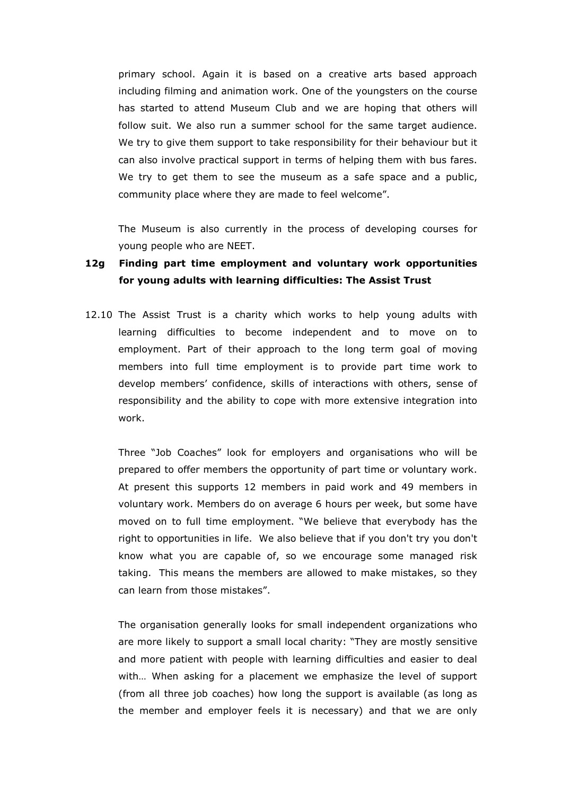primary school. Again it is based on a creative arts based approach including filming and animation work. One of the youngsters on the course has started to attend Museum Club and we are hoping that others will follow suit. We also run a summer school for the same target audience. We try to give them support to take responsibility for their behaviour but it can also involve practical support in terms of helping them with bus fares. We try to get them to see the museum as a safe space and a public, community place where they are made to feel welcome".

 The Museum is also currently in the process of developing courses for young people who are NEET.

### 12g Finding part time employment and voluntary work opportunities for young adults with learning difficulties: The Assist Trust

12.10 The Assist Trust is a charity which works to help young adults with learning difficulties to become independent and to move on to employment. Part of their approach to the long term goal of moving members into full time employment is to provide part time work to develop members' confidence, skills of interactions with others, sense of responsibility and the ability to cope with more extensive integration into work.

Three "Job Coaches" look for employers and organisations who will be prepared to offer members the opportunity of part time or voluntary work. At present this supports 12 members in paid work and 49 members in voluntary work. Members do on average 6 hours per week, but some have moved on to full time employment. "We believe that everybody has the right to opportunities in life. We also believe that if you don't try you don't know what you are capable of, so we encourage some managed risk taking. This means the members are allowed to make mistakes, so they can learn from those mistakes".

The organisation generally looks for small independent organizations who are more likely to support a small local charity: "They are mostly sensitive and more patient with people with learning difficulties and easier to deal with… When asking for a placement we emphasize the level of support (from all three job coaches) how long the support is available (as long as the member and employer feels it is necessary) and that we are only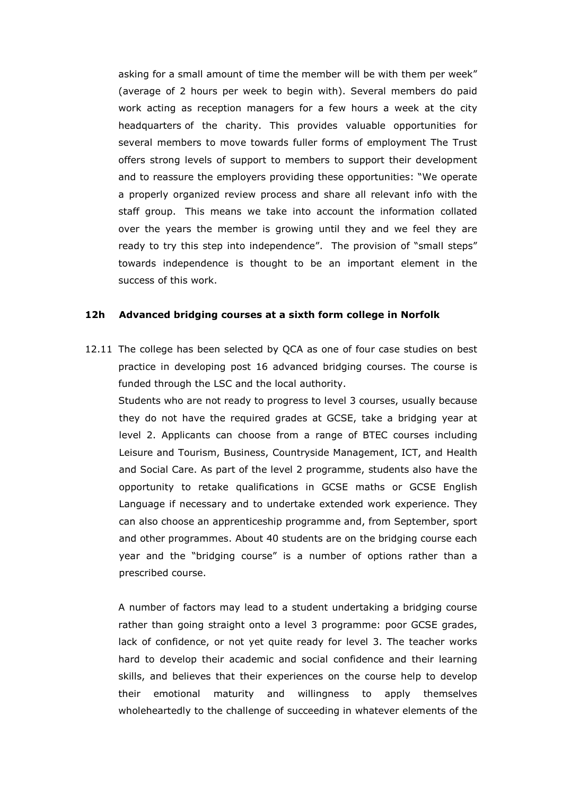asking for a small amount of time the member will be with them per week" (average of 2 hours per week to begin with). Several members do paid work acting as reception managers for a few hours a week at the city headquarters of the charity. This provides valuable opportunities for several members to move towards fuller forms of employment The Trust offers strong levels of support to members to support their development and to reassure the employers providing these opportunities: "We operate a properly organized review process and share all relevant info with the staff group. This means we take into account the information collated over the years the member is growing until they and we feel they are ready to try this step into independence". The provision of "small steps" towards independence is thought to be an important element in the success of this work.

### 12h Advanced bridging courses at a sixth form college in Norfolk

12.11 The college has been selected by QCA as one of four case studies on best practice in developing post 16 advanced bridging courses. The course is funded through the LSC and the local authority.

Students who are not ready to progress to level 3 courses, usually because they do not have the required grades at GCSE, take a bridging year at level 2. Applicants can choose from a range of BTEC courses including Leisure and Tourism, Business, Countryside Management, ICT, and Health and Social Care. As part of the level 2 programme, students also have the opportunity to retake qualifications in GCSE maths or GCSE English Language if necessary and to undertake extended work experience. They can also choose an apprenticeship programme and, from September, sport and other programmes. About 40 students are on the bridging course each year and the "bridging course" is a number of options rather than a prescribed course.

A number of factors may lead to a student undertaking a bridging course rather than going straight onto a level 3 programme: poor GCSE grades, lack of confidence, or not yet quite ready for level 3. The teacher works hard to develop their academic and social confidence and their learning skills, and believes that their experiences on the course help to develop their emotional maturity and willingness to apply themselves wholeheartedly to the challenge of succeeding in whatever elements of the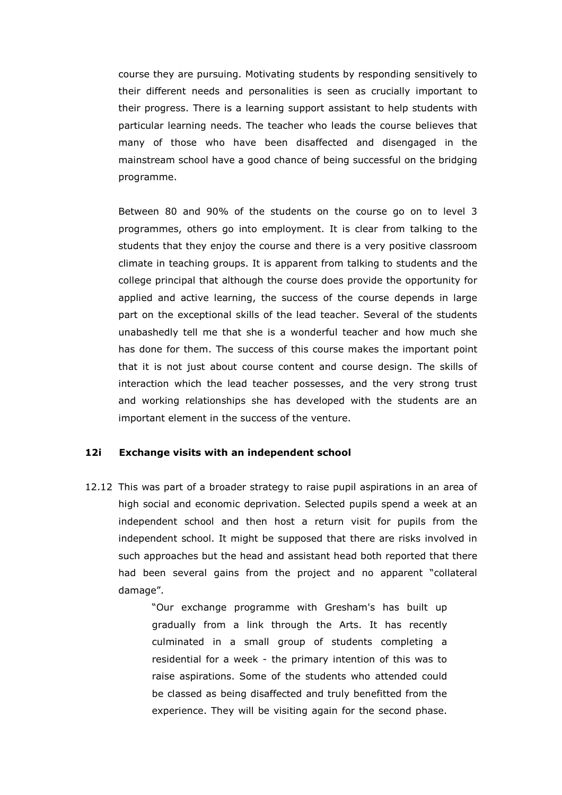course they are pursuing. Motivating students by responding sensitively to their different needs and personalities is seen as crucially important to their progress. There is a learning support assistant to help students with particular learning needs. The teacher who leads the course believes that many of those who have been disaffected and disengaged in the mainstream school have a good chance of being successful on the bridging programme.

Between 80 and 90% of the students on the course go on to level 3 programmes, others go into employment. It is clear from talking to the students that they enjoy the course and there is a very positive classroom climate in teaching groups. It is apparent from talking to students and the college principal that although the course does provide the opportunity for applied and active learning, the success of the course depends in large part on the exceptional skills of the lead teacher. Several of the students unabashedly tell me that she is a wonderful teacher and how much she has done for them. The success of this course makes the important point that it is not just about course content and course design. The skills of interaction which the lead teacher possesses, and the very strong trust and working relationships she has developed with the students are an important element in the success of the venture.

### 12i Exchange visits with an independent school

12.12 This was part of a broader strategy to raise pupil aspirations in an area of high social and economic deprivation. Selected pupils spend a week at an independent school and then host a return visit for pupils from the independent school. It might be supposed that there are risks involved in such approaches but the head and assistant head both reported that there had been several gains from the project and no apparent "collateral damage".

> "Our exchange programme with Gresham's has built up gradually from a link through the Arts. It has recently culminated in a small group of students completing a residential for a week - the primary intention of this was to raise aspirations. Some of the students who attended could be classed as being disaffected and truly benefitted from the experience. They will be visiting again for the second phase.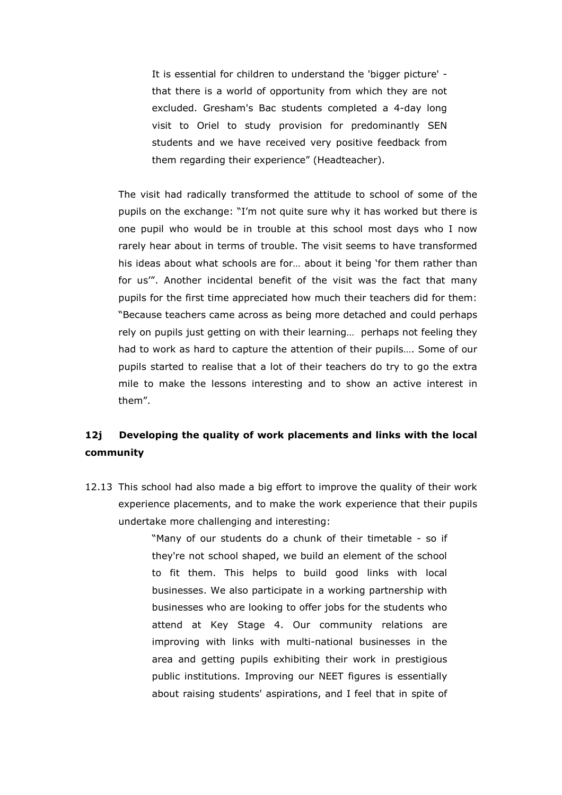It is essential for children to understand the 'bigger picture' that there is a world of opportunity from which they are not excluded. Gresham's Bac students completed a 4-day long visit to Oriel to study provision for predominantly SEN students and we have received very positive feedback from them regarding their experience" (Headteacher).

The visit had radically transformed the attitude to school of some of the pupils on the exchange: "I'm not quite sure why it has worked but there is one pupil who would be in trouble at this school most days who I now rarely hear about in terms of trouble. The visit seems to have transformed his ideas about what schools are for… about it being 'for them rather than for us'". Another incidental benefit of the visit was the fact that many pupils for the first time appreciated how much their teachers did for them: "Because teachers came across as being more detached and could perhaps rely on pupils just getting on with their learning… perhaps not feeling they had to work as hard to capture the attention of their pupils…. Some of our pupils started to realise that a lot of their teachers do try to go the extra mile to make the lessons interesting and to show an active interest in them".

### 12j Developing the quality of work placements and links with the local community

12.13 This school had also made a big effort to improve the quality of their work experience placements, and to make the work experience that their pupils undertake more challenging and interesting:

> "Many of our students do a chunk of their timetable - so if they're not school shaped, we build an element of the school to fit them. This helps to build good links with local businesses. We also participate in a working partnership with businesses who are looking to offer jobs for the students who attend at Key Stage 4. Our community relations are improving with links with multi-national businesses in the area and getting pupils exhibiting their work in prestigious public institutions. Improving our NEET figures is essentially about raising students' aspirations, and I feel that in spite of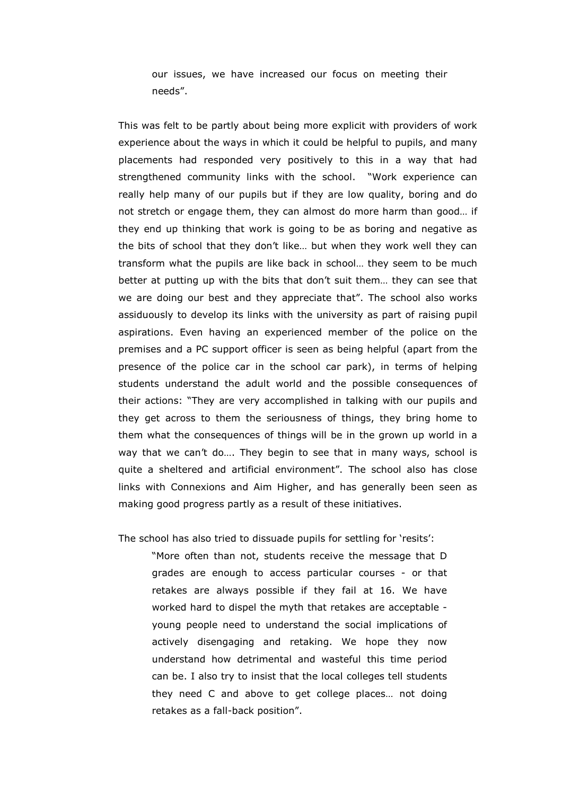our issues, we have increased our focus on meeting their needs".

This was felt to be partly about being more explicit with providers of work experience about the ways in which it could be helpful to pupils, and many placements had responded very positively to this in a way that had strengthened community links with the school. "Work experience can really help many of our pupils but if they are low quality, boring and do not stretch or engage them, they can almost do more harm than good… if they end up thinking that work is going to be as boring and negative as the bits of school that they don't like… but when they work well they can transform what the pupils are like back in school… they seem to be much better at putting up with the bits that don't suit them… they can see that we are doing our best and they appreciate that". The school also works assiduously to develop its links with the university as part of raising pupil aspirations. Even having an experienced member of the police on the premises and a PC support officer is seen as being helpful (apart from the presence of the police car in the school car park), in terms of helping students understand the adult world and the possible consequences of their actions: "They are very accomplished in talking with our pupils and they get across to them the seriousness of things, they bring home to them what the consequences of things will be in the grown up world in a way that we can't do…. They begin to see that in many ways, school is quite a sheltered and artificial environment". The school also has close links with Connexions and Aim Higher, and has generally been seen as making good progress partly as a result of these initiatives.

The school has also tried to dissuade pupils for settling for 'resits':

 "More often than not, students receive the message that D grades are enough to access particular courses - or that retakes are always possible if they fail at 16. We have worked hard to dispel the myth that retakes are acceptable young people need to understand the social implications of actively disengaging and retaking. We hope they now understand how detrimental and wasteful this time period can be. I also try to insist that the local colleges tell students they need C and above to get college places… not doing retakes as a fall-back position".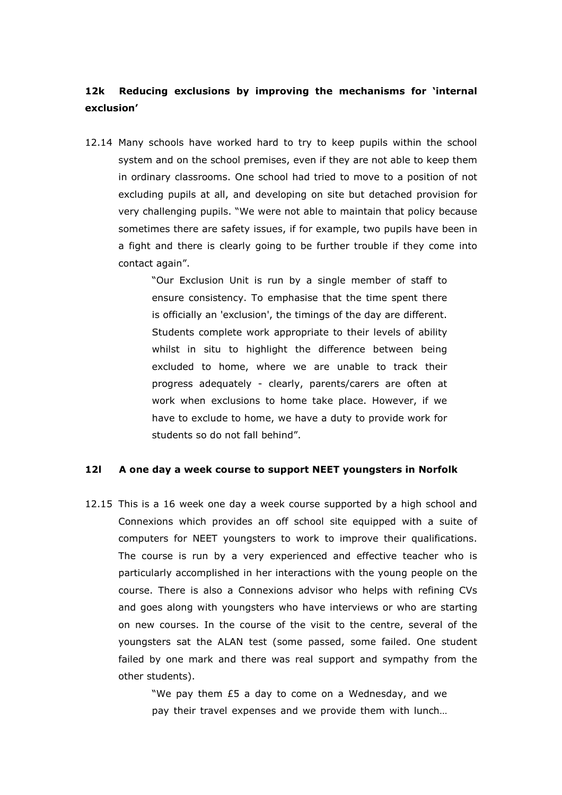### 12k Reducing exclusions by improving the mechanisms for 'internal exclusion'

12.14 Many schools have worked hard to try to keep pupils within the school system and on the school premises, even if they are not able to keep them in ordinary classrooms. One school had tried to move to a position of not excluding pupils at all, and developing on site but detached provision for very challenging pupils. "We were not able to maintain that policy because sometimes there are safety issues, if for example, two pupils have been in a fight and there is clearly going to be further trouble if they come into contact again".

> "Our Exclusion Unit is run by a single member of staff to ensure consistency. To emphasise that the time spent there is officially an 'exclusion', the timings of the day are different. Students complete work appropriate to their levels of ability whilst in situ to highlight the difference between being excluded to home, where we are unable to track their progress adequately - clearly, parents/carers are often at work when exclusions to home take place. However, if we have to exclude to home, we have a duty to provide work for students so do not fall behind".

### 12l A one day a week course to support NEET youngsters in Norfolk

12.15 This is a 16 week one day a week course supported by a high school and Connexions which provides an off school site equipped with a suite of computers for NEET youngsters to work to improve their qualifications. The course is run by a very experienced and effective teacher who is particularly accomplished in her interactions with the young people on the course. There is also a Connexions advisor who helps with refining CVs and goes along with youngsters who have interviews or who are starting on new courses. In the course of the visit to the centre, several of the youngsters sat the ALAN test (some passed, some failed. One student failed by one mark and there was real support and sympathy from the other students).

> "We pay them £5 a day to come on a Wednesday, and we pay their travel expenses and we provide them with lunch…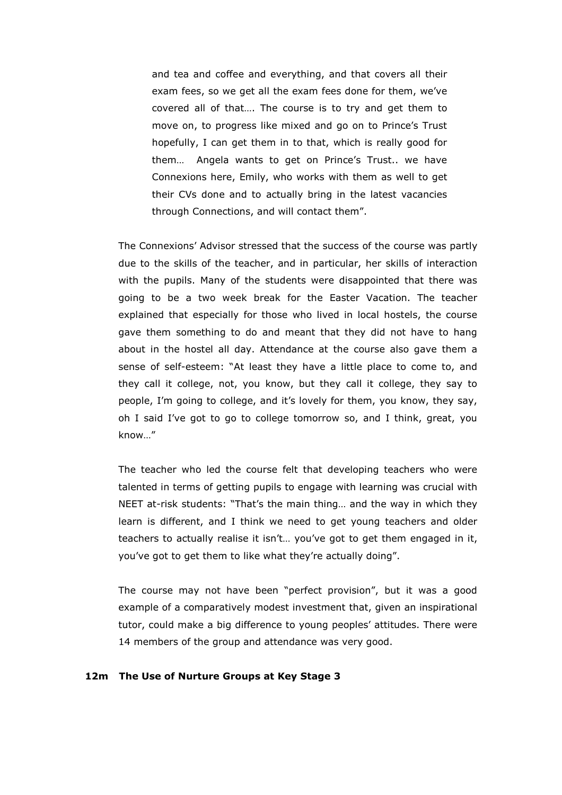and tea and coffee and everything, and that covers all their exam fees, so we get all the exam fees done for them, we've covered all of that…. The course is to try and get them to move on, to progress like mixed and go on to Prince's Trust hopefully, I can get them in to that, which is really good for them… Angela wants to get on Prince's Trust.. we have Connexions here, Emily, who works with them as well to get their CVs done and to actually bring in the latest vacancies through Connections, and will contact them".

The Connexions' Advisor stressed that the success of the course was partly due to the skills of the teacher, and in particular, her skills of interaction with the pupils. Many of the students were disappointed that there was going to be a two week break for the Easter Vacation. The teacher explained that especially for those who lived in local hostels, the course gave them something to do and meant that they did not have to hang about in the hostel all day. Attendance at the course also gave them a sense of self-esteem: "At least they have a little place to come to, and they call it college, not, you know, but they call it college, they say to people, I'm going to college, and it's lovely for them, you know, they say, oh I said I've got to go to college tomorrow so, and I think, great, you know…"

The teacher who led the course felt that developing teachers who were talented in terms of getting pupils to engage with learning was crucial with NEET at-risk students: "That's the main thing… and the way in which they learn is different, and I think we need to get young teachers and older teachers to actually realise it isn't… you've got to get them engaged in it, you've got to get them to like what they're actually doing".

The course may not have been "perfect provision", but it was a good example of a comparatively modest investment that, given an inspirational tutor, could make a big difference to young peoples' attitudes. There were 14 members of the group and attendance was very good.

### 12m The Use of Nurture Groups at Key Stage 3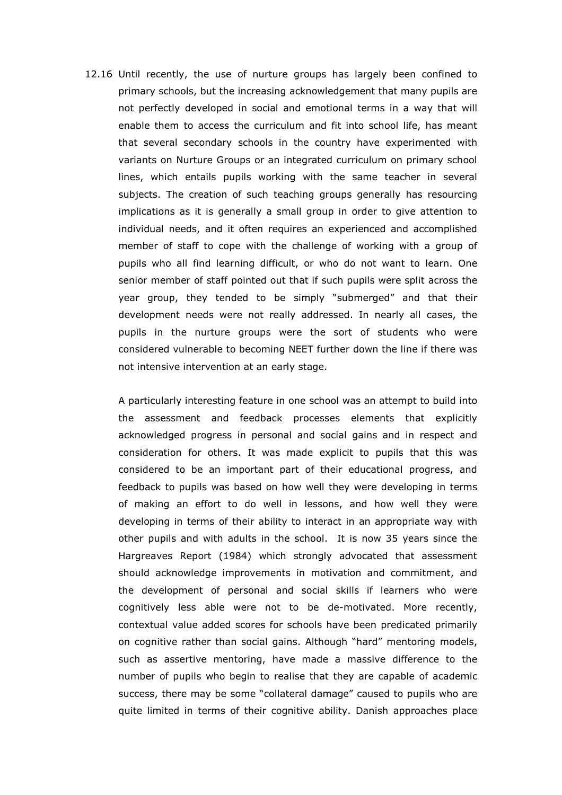12.16 Until recently, the use of nurture groups has largely been confined to primary schools, but the increasing acknowledgement that many pupils are not perfectly developed in social and emotional terms in a way that will enable them to access the curriculum and fit into school life, has meant that several secondary schools in the country have experimented with variants on Nurture Groups or an integrated curriculum on primary school lines, which entails pupils working with the same teacher in several subjects. The creation of such teaching groups generally has resourcing implications as it is generally a small group in order to give attention to individual needs, and it often requires an experienced and accomplished member of staff to cope with the challenge of working with a group of pupils who all find learning difficult, or who do not want to learn. One senior member of staff pointed out that if such pupils were split across the year group, they tended to be simply "submerged" and that their development needs were not really addressed. In nearly all cases, the pupils in the nurture groups were the sort of students who were considered vulnerable to becoming NEET further down the line if there was not intensive intervention at an early stage.

 A particularly interesting feature in one school was an attempt to build into the assessment and feedback processes elements that explicitly acknowledged progress in personal and social gains and in respect and consideration for others. It was made explicit to pupils that this was considered to be an important part of their educational progress, and feedback to pupils was based on how well they were developing in terms of making an effort to do well in lessons, and how well they were developing in terms of their ability to interact in an appropriate way with other pupils and with adults in the school. It is now 35 years since the Hargreaves Report (1984) which strongly advocated that assessment should acknowledge improvements in motivation and commitment, and the development of personal and social skills if learners who were cognitively less able were not to be de-motivated. More recently, contextual value added scores for schools have been predicated primarily on cognitive rather than social gains. Although "hard" mentoring models, such as assertive mentoring, have made a massive difference to the number of pupils who begin to realise that they are capable of academic success, there may be some "collateral damage" caused to pupils who are quite limited in terms of their cognitive ability. Danish approaches place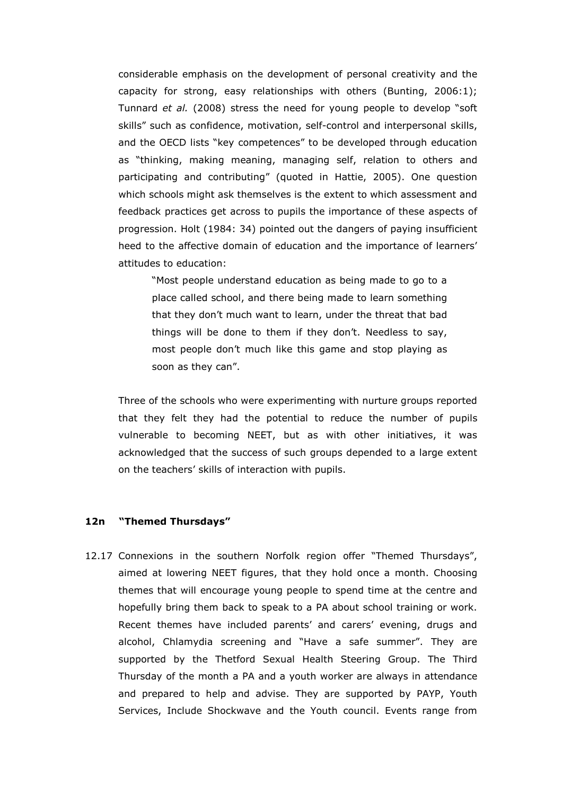considerable emphasis on the development of personal creativity and the capacity for strong, easy relationships with others (Bunting, 2006:1); Tunnard et al. (2008) stress the need for young people to develop "soft skills" such as confidence, motivation, self-control and interpersonal skills, and the OECD lists "key competences" to be developed through education as "thinking, making meaning, managing self, relation to others and participating and contributing" (quoted in Hattie, 2005). One question which schools might ask themselves is the extent to which assessment and feedback practices get across to pupils the importance of these aspects of progression. Holt (1984: 34) pointed out the dangers of paying insufficient heed to the affective domain of education and the importance of learners' attitudes to education:

"Most people understand education as being made to go to a place called school, and there being made to learn something that they don't much want to learn, under the threat that bad things will be done to them if they don't. Needless to say, most people don't much like this game and stop playing as soon as they can".

Three of the schools who were experimenting with nurture groups reported that they felt they had the potential to reduce the number of pupils vulnerable to becoming NEET, but as with other initiatives, it was acknowledged that the success of such groups depended to a large extent on the teachers' skills of interaction with pupils.

#### 12n "Themed Thursdays"

12.17 Connexions in the southern Norfolk region offer "Themed Thursdays", aimed at lowering NEET figures, that they hold once a month. Choosing themes that will encourage young people to spend time at the centre and hopefully bring them back to speak to a PA about school training or work. Recent themes have included parents' and carers' evening, drugs and alcohol, Chlamydia screening and "Have a safe summer". They are supported by the Thetford Sexual Health Steering Group. The Third Thursday of the month a PA and a youth worker are always in attendance and prepared to help and advise. They are supported by PAYP, Youth Services, Include Shockwave and the Youth council. Events range from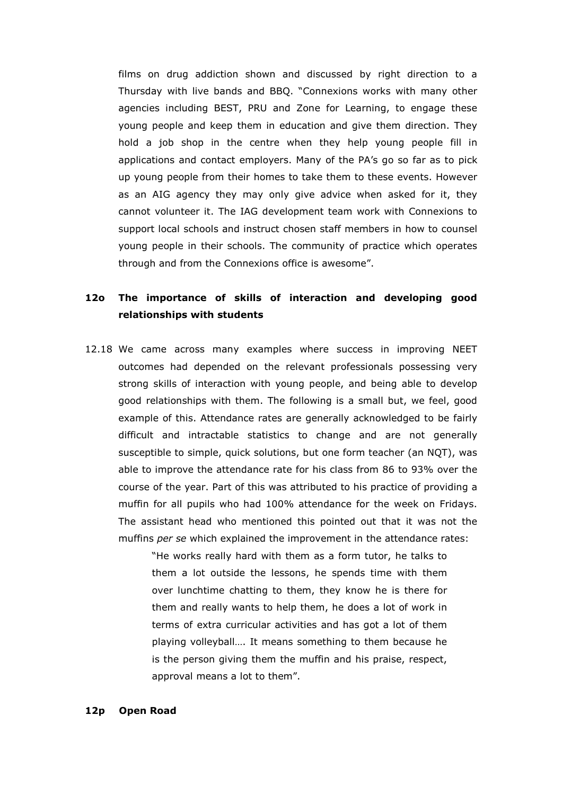films on drug addiction shown and discussed by right direction to a Thursday with live bands and BBQ. "Connexions works with many other agencies including BEST, PRU and Zone for Learning, to engage these young people and keep them in education and give them direction. They hold a job shop in the centre when they help young people fill in applications and contact employers. Many of the PA's go so far as to pick up young people from their homes to take them to these events. However as an AIG agency they may only give advice when asked for it, they cannot volunteer it. The IAG development team work with Connexions to support local schools and instruct chosen staff members in how to counsel young people in their schools. The community of practice which operates through and from the Connexions office is awesome".

### 12o The importance of skills of interaction and developing good relationships with students

12.18 We came across many examples where success in improving NEET outcomes had depended on the relevant professionals possessing very strong skills of interaction with young people, and being able to develop good relationships with them. The following is a small but, we feel, good example of this. Attendance rates are generally acknowledged to be fairly difficult and intractable statistics to change and are not generally susceptible to simple, quick solutions, but one form teacher (an NQT), was able to improve the attendance rate for his class from 86 to 93% over the course of the year. Part of this was attributed to his practice of providing a muffin for all pupils who had 100% attendance for the week on Fridays. The assistant head who mentioned this pointed out that it was not the muffins per se which explained the improvement in the attendance rates:

> "He works really hard with them as a form tutor, he talks to them a lot outside the lessons, he spends time with them over lunchtime chatting to them, they know he is there for them and really wants to help them, he does a lot of work in terms of extra curricular activities and has got a lot of them playing volleyball…. It means something to them because he is the person giving them the muffin and his praise, respect, approval means a lot to them".

### 12p Open Road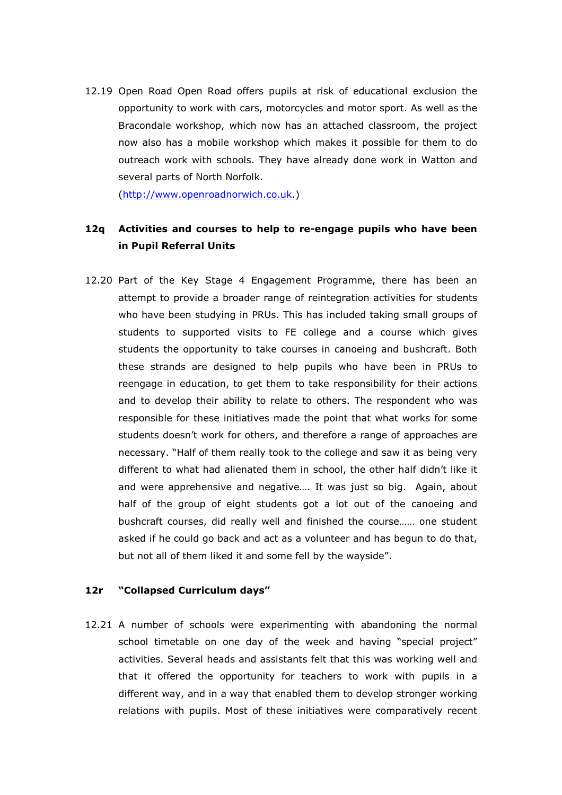12.19 Open Road Open Road offers pupils at risk of educational exclusion the opportunity to work with cars, motorcycles and motor sport. As well as the Bracondale workshop, which now has an attached classroom, the project now also has a mobile workshop which makes it possible for them to do outreach work with schools. They have already done work in Watton and several parts of North Norfolk.

(http://www.openroadnorwich.co.uk.)

### 12q Activities and courses to help to re-engage pupils who have been in Pupil Referral Units

12.20 Part of the Key Stage 4 Engagement Programme, there has been an attempt to provide a broader range of reintegration activities for students who have been studying in PRUs. This has included taking small groups of students to supported visits to FE college and a course which gives students the opportunity to take courses in canoeing and bushcraft. Both these strands are designed to help pupils who have been in PRUs to reengage in education, to get them to take responsibility for their actions and to develop their ability to relate to others. The respondent who was responsible for these initiatives made the point that what works for some students doesn't work for others, and therefore a range of approaches are necessary. "Half of them really took to the college and saw it as being very different to what had alienated them in school, the other half didn't like it and were apprehensive and negative…. It was just so big. Again, about half of the group of eight students got a lot out of the canoeing and bushcraft courses, did really well and finished the course…… one student asked if he could go back and act as a volunteer and has begun to do that, but not all of them liked it and some fell by the wayside".

### 12r "Collapsed Curriculum days"

12.21 A number of schools were experimenting with abandoning the normal school timetable on one day of the week and having "special project" activities. Several heads and assistants felt that this was working well and that it offered the opportunity for teachers to work with pupils in a different way, and in a way that enabled them to develop stronger working relations with pupils. Most of these initiatives were comparatively recent